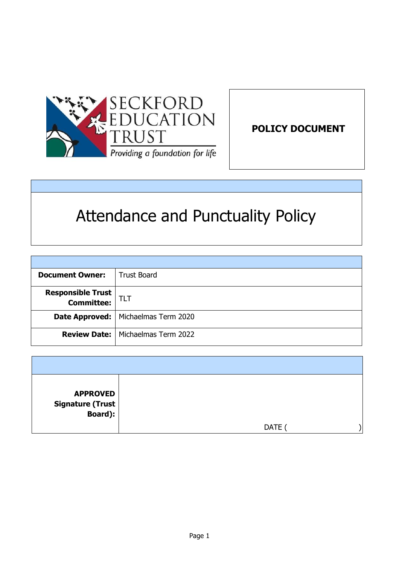

**POLICY DOCUMENT** 

# Attendance and Punctuality Policy

| <b>Document Owner:</b>                            | <b>Trust Board</b>                         |
|---------------------------------------------------|--------------------------------------------|
| <b>Responsible Trust</b><br><b>Committee:</b> TLT |                                            |
|                                                   | Date Approved:   Michaelmas Term 2020      |
|                                                   | <b>Review Date:</b>   Michaelmas Term 2022 |

| <b>APPROVED</b><br>Signature (Trust  <br>Board): |      |  |
|--------------------------------------------------|------|--|
|                                                  | DATE |  |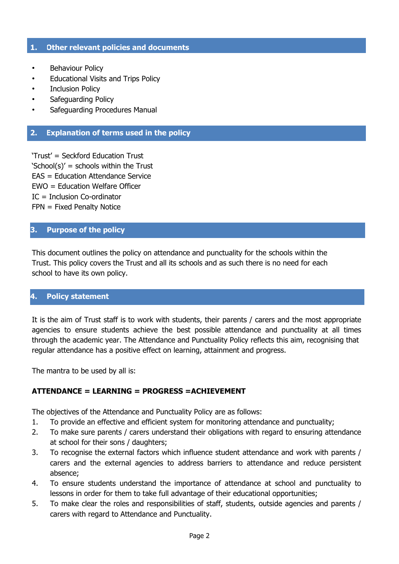#### **1. Other relevant policies and documents**

- Behaviour Policy
- Educational Visits and Trips Policy
- Inclusion Policy
- Safeguarding Policy
- Safeguarding Procedures Manual

#### **2. Explanation of terms used in the policy**

'Trust' = Seckford Education Trust 'School(s)' = schools within the Trust EAS = Education Attendance Service EWO = Education Welfare Officer IC = Inclusion Co-ordinator FPN = Fixed Penalty Notice

## **3. Purpose of the policy**

This document outlines the policy on attendance and punctuality for the schools within the Trust. This policy covers the Trust and all its schools and as such there is no need for each school to have its own policy.

## **4. Policy statement**

It is the aim of Trust staff is to work with students, their parents / carers and the most appropriate agencies to ensure students achieve the best possible attendance and punctuality at all times through the academic year. The Attendance and Punctuality Policy reflects this aim, recognising that regular attendance has a positive effect on learning, attainment and progress.

The mantra to be used by all is:

#### **ATTENDANCE = LEARNING = PROGRESS =ACHIEVEMENT**

The objectives of the Attendance and Punctuality Policy are as follows:

- 1. To provide an effective and efficient system for monitoring attendance and punctuality;
- 2. To make sure parents / carers understand their obligations with regard to ensuring attendance at school for their sons / daughters;
- 3. To recognise the external factors which influence student attendance and work with parents / carers and the external agencies to address barriers to attendance and reduce persistent absence;
- 4. To ensure students understand the importance of attendance at school and punctuality to lessons in order for them to take full advantage of their educational opportunities;
- 5. To make clear the roles and responsibilities of staff, students, outside agencies and parents / carers with regard to Attendance and Punctuality.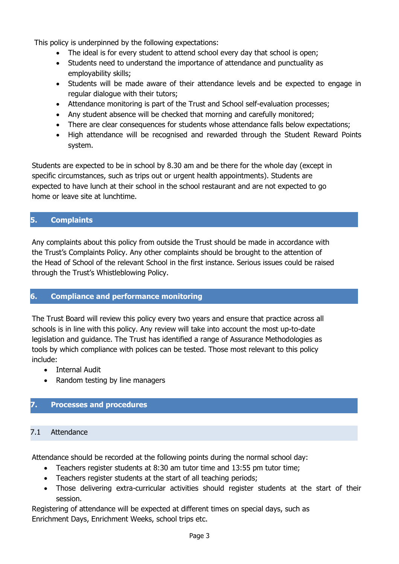This policy is underpinned by the following expectations:

- The ideal is for every student to attend school every day that school is open;
- Students need to understand the importance of attendance and punctuality as employability skills;
- Students will be made aware of their attendance levels and be expected to engage in regular dialogue with their tutors;
- Attendance monitoring is part of the Trust and School self-evaluation processes;
- Any student absence will be checked that morning and carefully monitored;
- There are clear consequences for students whose attendance falls below expectations;
- High attendance will be recognised and rewarded through the Student Reward Points system.

Students are expected to be in school by 8.30 am and be there for the whole day (except in specific circumstances, such as trips out or urgent health appointments). Students are expected to have lunch at their school in the school restaurant and are not expected to go home or leave site at lunchtime.

## **5. Complaints**

Any complaints about this policy from outside the Trust should be made in accordance with the Trust's Complaints Policy. Any other complaints should be brought to the attention of the Head of School of the relevant School in the first instance. Serious issues could be raised through the Trust's Whistleblowing Policy.

## **6. Compliance and performance monitoring**

The Trust Board will review this policy every two years and ensure that practice across all schools is in line with this policy. Any review will take into account the most up-to-date legislation and guidance. The Trust has identified a range of Assurance Methodologies as tools by which compliance with polices can be tested. Those most relevant to this policy include:

• Internal Audit

• Random testing by line managers

## **7. Processes and procedures**

## 7.1 Attendance

Attendance should be recorded at the following points during the normal school day:

- Teachers register students at 8:30 am tutor time and 13:55 pm tutor time;
- Teachers register students at the start of all teaching periods;
- Those delivering extra-curricular activities should register students at the start of their session.

Registering of attendance will be expected at different times on special days, such as Enrichment Days, Enrichment Weeks, school trips etc.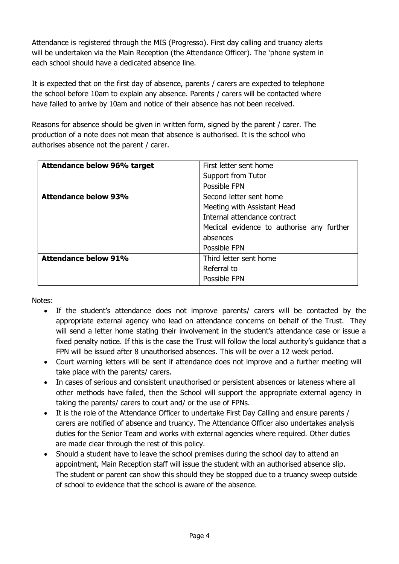Attendance is registered through the MIS (Progresso). First day calling and truancy alerts will be undertaken via the Main Reception (the Attendance Officer). The 'phone system in each school should have a dedicated absence line.

It is expected that on the first day of absence, parents / carers are expected to telephone the school before 10am to explain any absence. Parents / carers will be contacted where have failed to arrive by 10am and notice of their absence has not been received.

Reasons for absence should be given in written form, signed by the parent / carer. The production of a note does not mean that absence is authorised. It is the school who authorises absence not the parent / carer.

| Attendance below 96% target | First letter sent home                    |  |  |
|-----------------------------|-------------------------------------------|--|--|
|                             | Support from Tutor                        |  |  |
|                             | Possible FPN                              |  |  |
| <b>Attendance below 93%</b> | Second letter sent home                   |  |  |
|                             | Meeting with Assistant Head               |  |  |
|                             | Internal attendance contract              |  |  |
|                             | Medical evidence to authorise any further |  |  |
|                             | absences                                  |  |  |
|                             | Possible FPN                              |  |  |
| <b>Attendance below 91%</b> | Third letter sent home                    |  |  |
|                             | Referral to                               |  |  |
|                             | Possible FPN                              |  |  |

Notes:

- If the student's attendance does not improve parents/ carers will be contacted by the appropriate external agency who lead on attendance concerns on behalf of the Trust. They will send a letter home stating their involvement in the student's attendance case or issue a fixed penalty notice. If this is the case the Trust will follow the local authority's guidance that a FPN will be issued after 8 unauthorised absences. This will be over a 12 week period.
- Court warning letters will be sent if attendance does not improve and a further meeting will take place with the parents/ carers.
- In cases of serious and consistent unauthorised or persistent absences or lateness where all other methods have failed, then the School will support the appropriate external agency in taking the parents/ carers to court and/ or the use of FPNs.
- It is the role of the Attendance Officer to undertake First Day Calling and ensure parents / carers are notified of absence and truancy. The Attendance Officer also undertakes analysis duties for the Senior Team and works with external agencies where required. Other duties are made clear through the rest of this policy.
- Should a student have to leave the school premises during the school day to attend an appointment, Main Reception staff will issue the student with an authorised absence slip. The student or parent can show this should they be stopped due to a truancy sweep outside of school to evidence that the school is aware of the absence.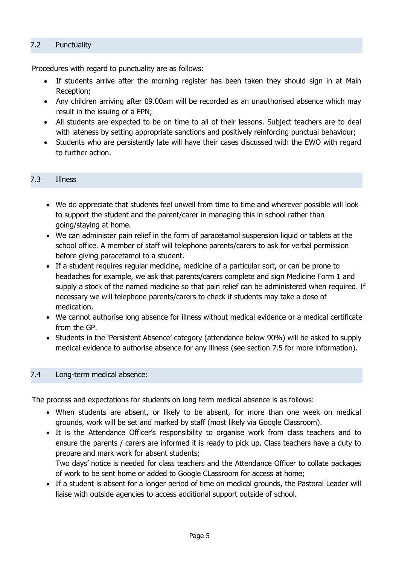## 7.2 Punctuality

Procedures with regard to punctuality are as follows:

- If students arrive after the morning register has been taken they should sign in at Main Reception;
- Any children arriving after 09.00am will be recorded as an unauthorised absence which may result in the issuing of a FPN;
- All students are expected to be on time to all of their lessons. Subject teachers are to deal with lateness by setting appropriate sanctions and positively reinforcing punctual behaviour;
- Students who are persistently late will have their cases discussed with the EWO with regard to further action.

#### 7.3 Illness

- We do appreciate that students feel unwell from time to time and wherever possible will look to support the student and the parent/carer in managing this in school rather than going/staying at home.
- We can administer pain relief in the form of paracetamol suspension liquid or tablets at the school office. A member of staff will telephone parents/carers to ask for verbal permission before giving paracetamol to a student.
- If a student requires regular medicine, medicine of a particular sort, or can be prone to headaches for example, we ask that parents/carers complete and sign Medicine Form 1 and supply a stock of the named medicine so that pain relief can be administered when required. If necessary we will telephone parents/carers to check if students may take a dose of medication.
- We cannot authorise long absence for illness without medical evidence or a medical certificate from the GP.
- Students in the 'Persistent Absence' category (attendance below 90%) will be asked to supply medical evidence to authorise absence for any illness (see section 7.5 for more information).

#### 7.4 Long-term medical absence:

The process and expectations for students on long term medical absence is as follows:

- When students are absent, or likely to be absent, for more than one week on medical grounds, work will be set and marked by staff (most likely via Google Classroom).
- It is the Attendance Officer's responsibility to organise work from class teachers and to ensure the parents / carers are informed it is ready to pick up. Class teachers have a duty to prepare and mark work for absent students;

Two days' notice is needed for class teachers and the Attendance Officer to collate packages of work to be sent home or added to Google CLassroom for access at home;

 If a student is absent for a longer period of time on medical grounds, the Pastoral Leader will liaise with outside agencies to access additional support outside of school.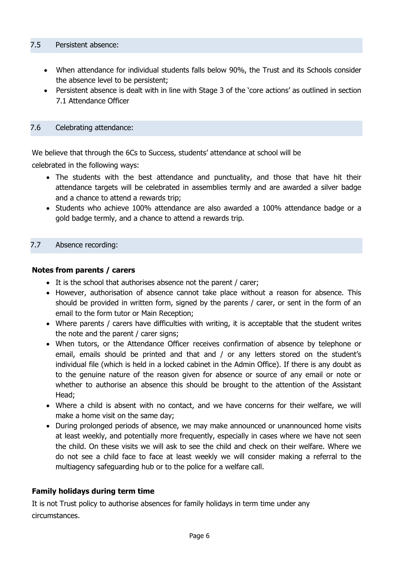- When attendance for individual students falls below 90%, the Trust and its Schools consider the absence level to be persistent;
- Persistent absence is dealt with in line with Stage 3 of the 'core actions' as outlined in section 7.1 Attendance Officer

## 7.6 Celebrating attendance:

We believe that through the 6Cs to Success, students' attendance at school will be

celebrated in the following ways:

- The students with the best attendance and punctuality, and those that have hit their attendance targets will be celebrated in assemblies termly and are awarded a silver badge and a chance to attend a rewards trip;
- Students who achieve 100% attendance are also awarded a 100% attendance badge or a gold badge termly, and a chance to attend a rewards trip.

## 7.7 Absence recording:

#### **Notes from parents / carers**

- It is the school that authorises absence not the parent / carer;
- However, authorisation of absence cannot take place without a reason for absence. This should be provided in written form, signed by the parents / carer, or sent in the form of an email to the form tutor or Main Reception;
- Where parents / carers have difficulties with writing, it is acceptable that the student writes the note and the parent / carer signs;
- When tutors, or the Attendance Officer receives confirmation of absence by telephone or email, emails should be printed and that and / or any letters stored on the student's individual file (which is held in a locked cabinet in the Admin Office). If there is any doubt as to the genuine nature of the reason given for absence or source of any email or note or whether to authorise an absence this should be brought to the attention of the Assistant Head;
- Where a child is absent with no contact, and we have concerns for their welfare, we will make a home visit on the same day;
- During prolonged periods of absence, we may make announced or unannounced home visits at least weekly, and potentially more frequently, especially in cases where we have not seen the child. On these visits we will ask to see the child and check on their welfare. Where we do not see a child face to face at least weekly we will consider making a referral to the multiagency safeguarding hub or to the police for a welfare call.

## **Family holidays during term time**

It is not Trust policy to authorise absences for family holidays in term time under any circumstances.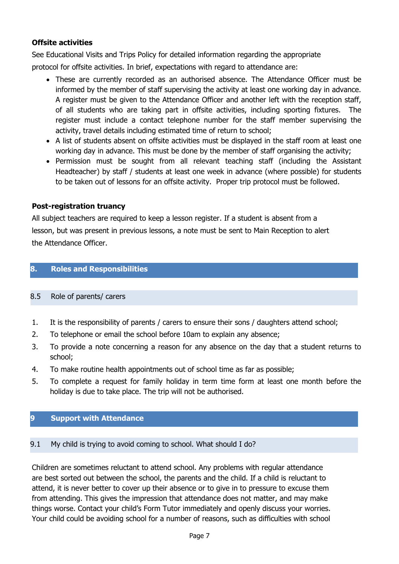## **Offsite activities**

See Educational Visits and Trips Policy for detailed information regarding the appropriate

protocol for offsite activities. In brief, expectations with regard to attendance are:

- These are currently recorded as an authorised absence. The Attendance Officer must be informed by the member of staff supervising the activity at least one working day in advance. A register must be given to the Attendance Officer and another left with the reception staff, of all students who are taking part in offsite activities, including sporting fixtures. The register must include a contact telephone number for the staff member supervising the activity, travel details including estimated time of return to school;
- A list of students absent on offsite activities must be displayed in the staff room at least one working day in advance. This must be done by the member of staff organising the activity;
- Permission must be sought from all relevant teaching staff (including the Assistant Headteacher) by staff / students at least one week in advance (where possible) for students to be taken out of lessons for an offsite activity. Proper trip protocol must be followed.

## **Post-registration truancy**

All subject teachers are required to keep a lesson register. If a student is absent from a lesson, but was present in previous lessons, a note must be sent to Main Reception to alert the Attendance Officer.

## **8. Roles and Responsibilities**

## 8.5 Role of parents/ carers

- 1. It is the responsibility of parents / carers to ensure their sons / daughters attend school;
- 2. To telephone or email the school before 10am to explain any absence;
- 3. To provide a note concerning a reason for any absence on the day that a student returns to school;
- 4. To make routine health appointments out of school time as far as possible;
- 5. To complete a request for family holiday in term time form at least one month before the holiday is due to take place. The trip will not be authorised.

## **9 Support with Attendance**

## 9.1 My child is trying to avoid coming to school. What should I do?

Children are sometimes reluctant to attend school. Any problems with regular attendance are best sorted out between the school, the parents and the child. If a child is reluctant to attend, it is never better to cover up their absence or to give in to pressure to excuse them from attending. This gives the impression that attendance does not matter, and may make things worse. Contact your child's Form Tutor immediately and openly discuss your worries. Your child could be avoiding school for a number of reasons, such as difficulties with school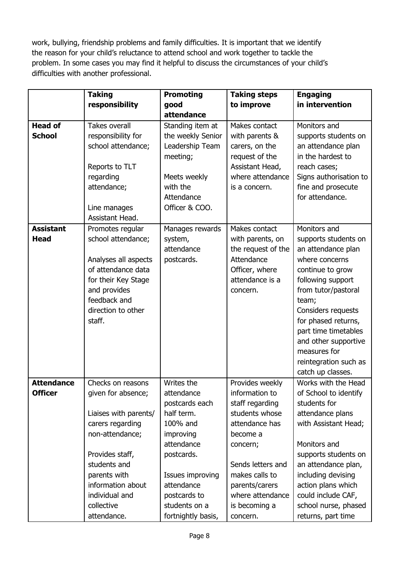work, bullying, friendship problems and family difficulties. It is important that we identify the reason for your child's reluctance to attend school and work together to tackle the problem. In some cases you may find it helpful to discuss the circumstances of your child's difficulties with another professional.

|                                 | <b>Taking</b>                              | <b>Promoting</b>                      | <b>Taking steps</b>              | <b>Engaging</b>                         |
|---------------------------------|--------------------------------------------|---------------------------------------|----------------------------------|-----------------------------------------|
|                                 | responsibility                             | good                                  | to improve                       | in intervention                         |
|                                 |                                            | attendance                            |                                  |                                         |
| <b>Head of</b><br><b>School</b> | <b>Takes overall</b><br>responsibility for | Standing item at<br>the weekly Senior | Makes contact<br>with parents &  | Monitors and<br>supports students on    |
|                                 | school attendance;                         | Leadership Team<br>meeting;           | carers, on the<br>request of the | an attendance plan<br>in the hardest to |
|                                 | Reports to TLT                             |                                       | Assistant Head,                  | reach cases;                            |
|                                 | regarding                                  | Meets weekly                          | where attendance                 | Signs authorisation to                  |
|                                 | attendance;                                | with the<br>Attendance                | is a concern.                    | fine and prosecute<br>for attendance.   |
|                                 | Line manages<br>Assistant Head.            | Officer & COO.                        |                                  |                                         |
| <b>Assistant</b>                | Promotes regular                           | Manages rewards                       | Makes contact                    | Monitors and                            |
| <b>Head</b>                     | school attendance;                         | system,                               | with parents, on                 | supports students on                    |
|                                 |                                            | attendance                            | the request of the               | an attendance plan                      |
|                                 | Analyses all aspects                       | postcards.                            | Attendance                       | where concerns                          |
|                                 | of attendance data                         |                                       | Officer, where                   | continue to grow                        |
|                                 | for their Key Stage                        |                                       | attendance is a                  | following support                       |
|                                 | and provides                               |                                       | concern.                         | from tutor/pastoral                     |
|                                 | feedback and                               |                                       |                                  | team;                                   |
|                                 | direction to other                         |                                       |                                  | Considers requests                      |
|                                 | staff.                                     |                                       |                                  | for phased returns,                     |
|                                 |                                            |                                       |                                  | part time timetables                    |
|                                 |                                            |                                       |                                  | and other supportive                    |
|                                 |                                            |                                       |                                  | measures for                            |
|                                 |                                            |                                       |                                  | reintegration such as                   |
|                                 |                                            |                                       |                                  | catch up classes.                       |
| <b>Attendance</b>               | Checks on reasons                          | Writes the                            | Provides weekly                  | Works with the Head                     |
| <b>Officer</b>                  | given for absence;                         | attendance                            | information to                   | of School to identify                   |
|                                 |                                            | postcards each                        | staff regarding                  | students for                            |
|                                 | Liaises with parents/                      | half term.                            | students whose                   | attendance plans                        |
|                                 | carers regarding                           | 100% and                              | attendance has                   | with Assistant Head;                    |
|                                 | non-attendance;                            | improving                             | become a                         |                                         |
|                                 |                                            | attendance                            | concern;                         | Monitors and                            |
|                                 | Provides staff,                            | postcards.                            |                                  | supports students on                    |
|                                 | students and                               |                                       | Sends letters and                | an attendance plan,                     |
|                                 | parents with                               | Issues improving                      | makes calls to                   | including devising                      |
|                                 | information about                          | attendance                            | parents/carers                   | action plans which                      |
|                                 | individual and                             | postcards to                          | where attendance                 | could include CAF,                      |
|                                 | collective                                 | students on a                         | is becoming a                    | school nurse, phased                    |
|                                 | attendance.                                | fortnightly basis,                    | concern.                         | returns, part time                      |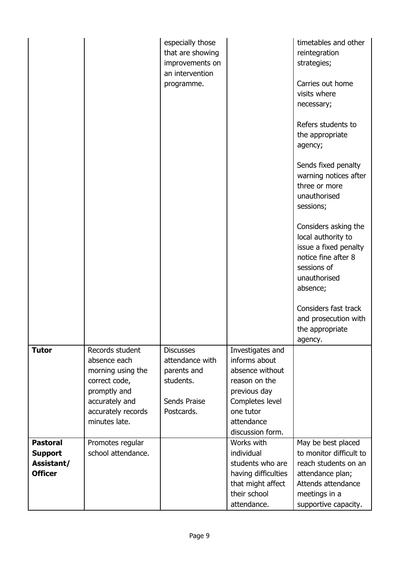|                                   |                                                                                                                             | especially those<br>that are showing<br>improvements on<br>an intervention<br>programme. |                                                                                                                                     | timetables and other<br>reintegration<br>strategies;<br>Carries out home<br>visits where<br>necessary;<br>Refers students to<br>the appropriate<br>agency;<br>Sends fixed penalty<br>warning notices after<br>three or more<br>unauthorised<br>sessions;<br>Considers asking the<br>local authority to<br>issue a fixed penalty<br>notice fine after 8<br>sessions of<br>unauthorised<br>absence;<br>Considers fast track<br>and prosecution with<br>the appropriate |
|-----------------------------------|-----------------------------------------------------------------------------------------------------------------------------|------------------------------------------------------------------------------------------|-------------------------------------------------------------------------------------------------------------------------------------|----------------------------------------------------------------------------------------------------------------------------------------------------------------------------------------------------------------------------------------------------------------------------------------------------------------------------------------------------------------------------------------------------------------------------------------------------------------------|
| <b>Tutor</b>                      | Records student                                                                                                             | <b>Discusses</b>                                                                         | Investigates and                                                                                                                    | agency.                                                                                                                                                                                                                                                                                                                                                                                                                                                              |
|                                   | absence each<br>morning using the<br>correct code,<br>promptly and<br>accurately and<br>accurately records<br>minutes late. | attendance with<br>parents and<br>students.<br>Sends Praise<br>Postcards.                | informs about<br>absence without<br>reason on the<br>previous day<br>Completes level<br>one tutor<br>attendance<br>discussion form. |                                                                                                                                                                                                                                                                                                                                                                                                                                                                      |
| <b>Pastoral</b><br><b>Support</b> | Promotes regular<br>school attendance.                                                                                      |                                                                                          | Works with<br>individual                                                                                                            | May be best placed<br>to monitor difficult to                                                                                                                                                                                                                                                                                                                                                                                                                        |
| Assistant/                        |                                                                                                                             |                                                                                          | students who are                                                                                                                    | reach students on an                                                                                                                                                                                                                                                                                                                                                                                                                                                 |
| <b>Officer</b>                    |                                                                                                                             |                                                                                          | having difficulties                                                                                                                 | attendance plan;<br>Attends attendance                                                                                                                                                                                                                                                                                                                                                                                                                               |
|                                   |                                                                                                                             |                                                                                          | that might affect<br>their school                                                                                                   | meetings in a                                                                                                                                                                                                                                                                                                                                                                                                                                                        |
|                                   |                                                                                                                             |                                                                                          | attendance.                                                                                                                         | supportive capacity.                                                                                                                                                                                                                                                                                                                                                                                                                                                 |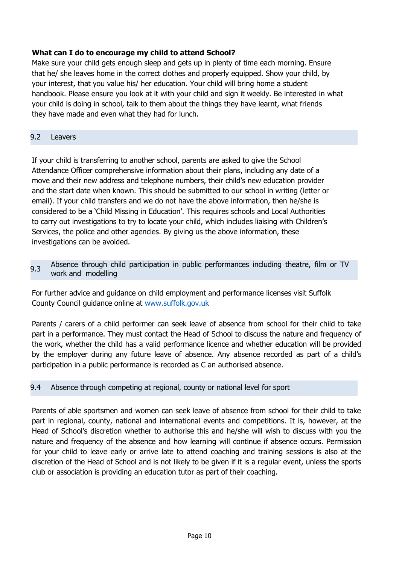## **What can I do to encourage my child to attend School?**

Make sure your child gets enough sleep and gets up in plenty of time each morning. Ensure that he/ she leaves home in the correct clothes and properly equipped. Show your child, by your interest, that you value his/ her education. Your child will bring home a student handbook. Please ensure you look at it with your child and sign it weekly. Be interested in what your child is doing in school, talk to them about the things they have learnt, what friends they have made and even what they had for lunch.

## 9.2 Leavers

If your child is transferring to another school, parents are asked to give the School Attendance Officer comprehensive information about their plans, including any date of a move and their new address and telephone numbers, their child's new education provider and the start date when known. This should be submitted to our school in writing (letter or email). If your child transfers and we do not have the above information, then he/she is considered to be a 'Child Missing in Education'. This requires schools and Local Authorities to carry out investigations to try to locate your child, which includes liaising with Children's Services, the police and other agencies. By giving us the above information, these investigations can be avoided.

9.3 Absence through child participation in public performances including theatre, film or TV work and modelling

For further advice and guidance on child employment and performance licenses visit Suffolk County Council guidance online at [www.suffolk.gov.uk](http://www.suffolk.gov.uk/)

Parents / carers of a child performer can seek leave of absence from school for their child to take part in a performance. They must contact the Head of School to discuss the nature and frequency of the work, whether the child has a valid performance licence and whether education will be provided by the employer during any future leave of absence. Any absence recorded as part of a child's participation in a public performance is recorded as C an authorised absence.

## 9.4 Absence through competing at regional, county or national level for sport

Parents of able sportsmen and women can seek leave of absence from school for their child to take part in regional, county, national and international events and competitions. It is, however, at the Head of School's discretion whether to authorise this and he/she will wish to discuss with you the nature and frequency of the absence and how learning will continue if absence occurs. Permission for your child to leave early or arrive late to attend coaching and training sessions is also at the discretion of the Head of School and is not likely to be given if it is a regular event, unless the sports club or association is providing an education tutor as part of their coaching.